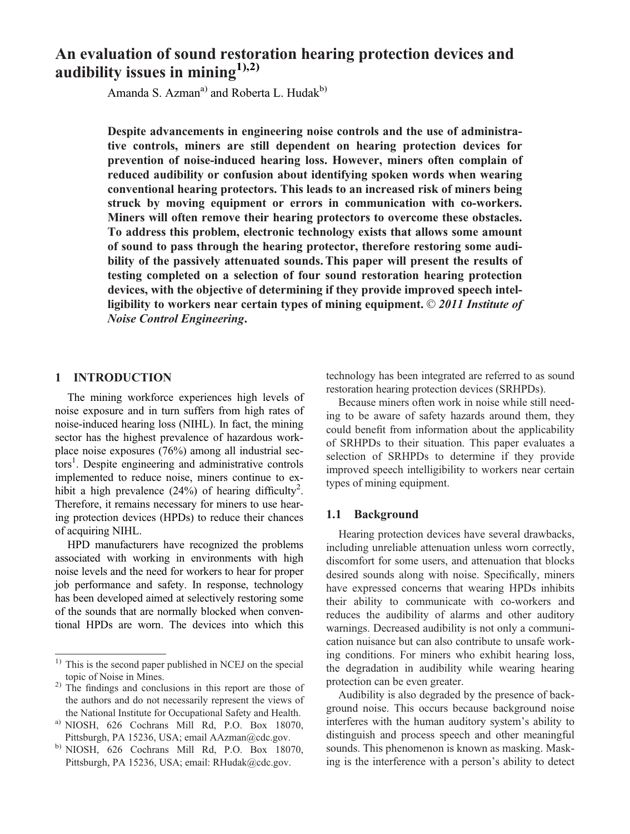# An evaluation of sound restoration hearing protection devices and audibility issues in mining $^{1,2)}$

Amanda S. Azman<sup>a)</sup> and Roberta L. Hudak<sup>b)</sup>

Despite advancements in engineering noise controls and the use of administrative controls, miners are still dependent on hearing protection devices for prevention of noise-induced hearing loss. However, miners often complain of reduced audibility or confusion about identifying spoken words when wearing conventional hearing protectors. This leads to an increased risk of miners being struck by moving equipment or errors in communication with co-workers. Miners will often remove their hearing protectors to overcome these obstacles. To address this problem, electronic technology exists that allows some amount of sound to pass through the hearing protector, therefore restoring some audibility of the passively attenuated sounds. This paper will present the results of testing completed on a selection of four sound restoration hearing protection devices, with the objective of determining if they provide improved speech intelligibility to workers near certain types of mining equipment.  $\odot$  2011 Institute of Noise Control Engineering.

#### 1 INTRODUCTION

The mining workforce experiences high levels of noise exposure and in turn suffers from high rates of noise-induced hearing loss (NIHL). In fact, the mining sector has the highest prevalence of hazardous workplace noise exposures (76%) among all industrial sec-tors<sup>[1](#page-8-0)</sup>. Despite engineering and administrative controls implemented to reduce noise, miners continue to exhibit a high prevalence  $(24%)$  $(24%)$  $(24%)$  of hearing difficulty<sup>2</sup>. Therefore, it remains necessary for miners to use hearing protection devices (HPDs) to reduce their chances of acquiring NIHL.

HPD manufacturers have recognized the problems associated with working in environments with high noise levels and the need for workers to hear for proper job performance and safety. In response, technology has been developed aimed at selectively restoring some of the sounds that are normally blocked when conventional HPDs are worn. The devices into which this technology has been integrated are referred to as sound restoration hearing protection devices (SRHPDs).

Because miners often work in noise while still needing to be aware of safety hazards around them, they could benefit from information about the applicability of SRHPDs to their situation. This paper evaluates a selection of SRHPDs to determine if they provide improved speech intelligibility to workers near certain types of mining equipment.

#### 1.1 Background

Hearing protection devices have several drawbacks, including unreliable attenuation unless worn correctly, discomfort for some users, and attenuation that blocks desired sounds along with noise. Specifically, miners have expressed concerns that wearing HPDs inhibits their ability to communicate with co-workers and reduces the audibility of alarms and other auditory warnings. Decreased audibility is not only a communication nuisance but can also contribute to unsafe working conditions. For miners who exhibit hearing loss, the degradation in audibility while wearing hearing protection can be even greater.

Audibility is also degraded by the presence of background noise. This occurs because background noise interferes with the human auditory system's ability to distinguish and process speech and other meaningful sounds. This phenomenon is known as masking. Masking is the interference with a person's ability to detect

 $<sup>1)</sup>$  This is the second paper published in NCEJ on the special</sup> topic of Noise in Mines.

<sup>2)</sup> The findings and conclusions in this report are those of the authors and do not necessarily represent the views of the National Institute for Occupational Safety and Health.

a) NIOSH, 626 Cochrans Mill Rd, P.O. Box 18070, Pittsburgh, PA 15236, USA; email AAzman@cdc.gov.

b) NIOSH, 626 Cochrans Mill Rd, P.O. Box 18070, Pittsburgh, PA 15236, USA; email: RHudak@cdc.gov.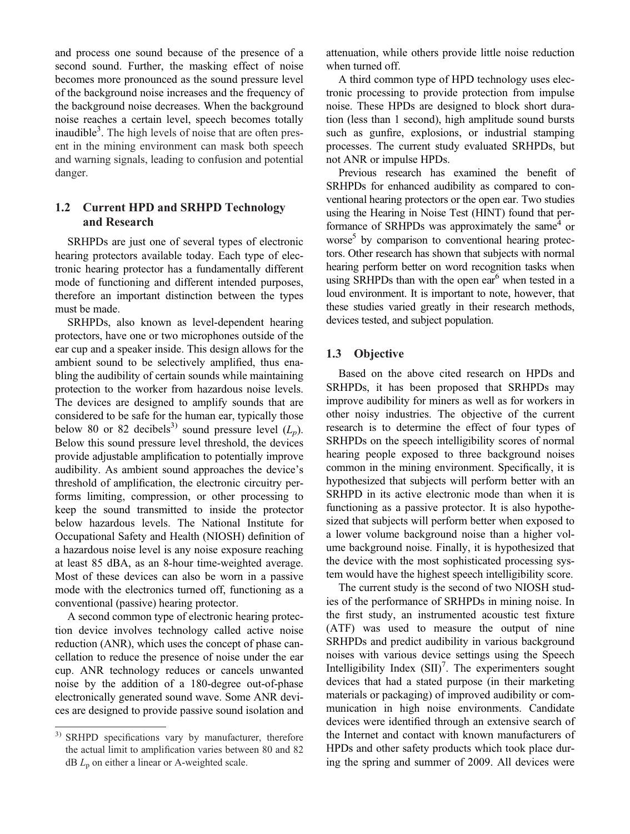and process one sound because of the presence of a second sound. Further, the masking effect of noise becomes more pronounced as the sound pressure level of the background noise increases and the frequency of the background noise decreases. When the background noise reaches a certain level, speech becomes totally inaudible<sup>[3](#page-8-0)</sup>. The high levels of noise that are often present in the mining environment can mask both speech and warning signals, leading to confusion and potential danger.

## 1.2 Current HPD and SRHPD Technology and Research

SRHPDs are just one of several types of electronic hearing protectors available today. Each type of electronic hearing protector has a fundamentally different mode of functioning and different intended purposes, therefore an important distinction between the types must be made.

SRHPDs, also known as level-dependent hearing protectors, have one or two microphones outside of the ear cup and a speaker inside. This design allows for the ambient sound to be selectively amplified, thus enabling the audibility of certain sounds while maintaining protection to the worker from hazardous noise levels. The devices are designed to amplify sounds that are considered to be safe for the human ear, typically those below 80 or 82 decibels<sup>3)</sup> sound pressure level  $(L_p)$ . Below this sound pressure level threshold, the devices provide adjustable amplification to potentially improve audibility. As ambient sound approaches the device's threshold of amplification, the electronic circuitry performs limiting, compression, or other processing to keep the sound transmitted to inside the protector below hazardous levels. The National Institute for Occupational Safety and Health (NIOSH) definition of a hazardous noise level is any noise exposure reaching at least 85 dBA, as an 8-hour time-weighted average. Most of these devices can also be worn in a passive mode with the electronics turned off, functioning as a conventional (passive) hearing protector.

A second common type of electronic hearing protection device involves technology called active noise reduction (ANR), which uses the concept of phase cancellation to reduce the presence of noise under the ear cup. ANR technology reduces or cancels unwanted noise by the addition of a 180-degree out-of-phase electronically generated sound wave. Some ANR devices are designed to provide passive sound isolation and

attenuation, while others provide little noise reduction when turned off.

A third common type of HPD technology uses electronic processing to provide protection from impulse noise. These HPDs are designed to block short duration (less than 1 second), high amplitude sound bursts such as gunfire, explosions, or industrial stamping processes. The current study evaluated SRHPDs, but not ANR or impulse HPDs.

Previous research has examined the benefit of SRHPDs for enhanced audibility as compared to conventional hearing protectors or the open ear. Two studies using the Hearing in Noise Test (HINT) found that performance of SRHPDs was approximately the same<sup>4</sup> or worse<sup>5</sup> by comparison to conventional hearing protectors. Other research has shown that subjects with normal hearing perform better on word recognition tasks when using SRHPDs than with the open ear<sup>6</sup> when tested in a loud environment. It is important to note, however, that these studies varied greatly in their research methods, devices tested, and subject population.

### 1.3 Objective

Based on the above cited research on HPDs and SRHPDs, it has been proposed that SRHPDs may improve audibility for miners as well as for workers in other noisy industries. The objective of the current research is to determine the effect of four types of SRHPDs on the speech intelligibility scores of normal hearing people exposed to three background noises common in the mining environment. Specifically, it is hypothesized that subjects will perform better with an SRHPD in its active electronic mode than when it is functioning as a passive protector. It is also hypothesized that subjects will perform better when exposed to a lower volume background noise than a higher volume background noise. Finally, it is hypothesized that the device with the most sophisticated processing system would have the highest speech intelligibility score.

The current study is the second of two NIOSH studies of the performance of SRHPDs in mining noise. In the first study, an instrumented acoustic test fixture (ATF) was used to measure the output of nine SRHPDs and predict audibility in various background noises with various device settings using the Speech Intelligibility Index  $(SII)^7$ . The experimenters sought devices that had a stated purpose (in their marketing materials or packaging) of improved audibility or communication in high noise environments. Candidate devices were identified through an extensive search of the Internet and contact with known manufacturers of HPDs and other safety products which took place during the spring and summer of 2009. All devices were

<sup>3)</sup> SRHPD specifications vary by manufacturer, therefore the actual limit to amplification varies between 80 and 82  $dB L<sub>p</sub>$  on either a linear or A-weighted scale.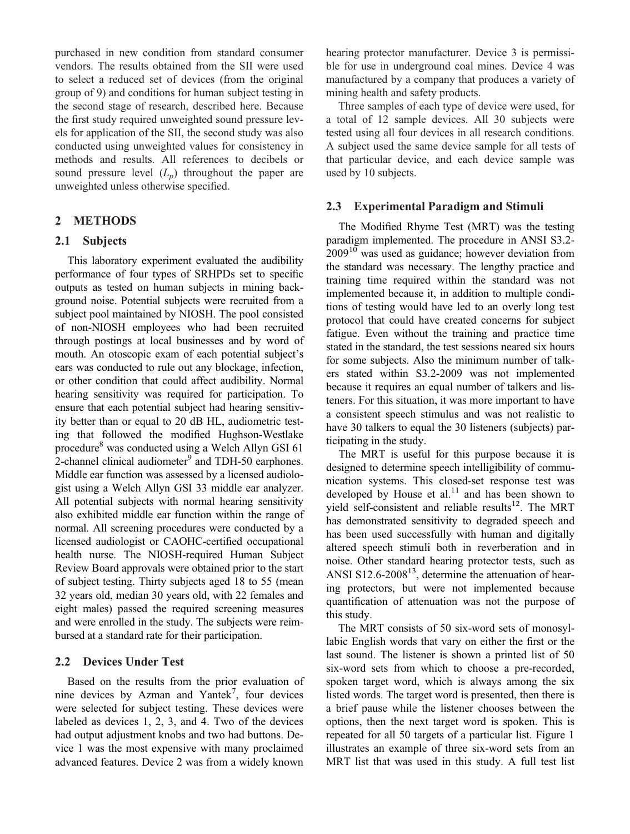purchased in new condition from standard consumer vendors. The results obtained from the SII were used to select a reduced set of devices (from the original group of 9) and conditions for human subject testing in the second stage of research, described here. Because the first study required unweighted sound pressure levels for application of the SII, the second study was also conducted using unweighted values for consistency in methods and results. All references to decibels or sound pressure level  $(L_p)$  throughout the paper are unweighted unless otherwise specified.

## 2 METHODS

#### 2.1 Subjects

This laboratory experiment evaluated the audibility performance of four types of SRHPDs set to specific outputs as tested on human subjects in mining background noise. Potential subjects were recruited from a subject pool maintained by NIOSH. The pool consisted of non-NIOSH employees who had been recruited through postings at local businesses and by word of mouth. An otoscopic exam of each potential subject's ears was conducted to rule out any blockage, infection, or other condition that could affect audibility. Normal hearing sensitivity was required for participation. To ensure that each potential subject had hearing sensitivity better than or equal to 20 dB HL, audiometric testing that followed the modified Hughson-Westlake procedure<sup>8</sup> was conducted using a Welch Allyn GSI 61 2-channel clinical audiometer $9$  and TDH-50 earphones. Middle ear function was assessed by a licensed audiologist using a Welch Allyn GSI 33 middle ear analyzer. All potential subjects with normal hearing sensitivity also exhibited middle ear function within the range of normal. All screening procedures were conducted by a licensed audiologist or CAOHC-certified occupational health nurse. The NIOSH-required Human Subject Review Board approvals were obtained prior to the start of subject testing. Thirty subjects aged 18 to 55 (mean 32 years old, median 30 years old, with 22 females and eight males) passed the required screening measures and were enrolled in the study. The subjects were reimbursed at a standard rate for their participation.

#### 2.2 Devices Under Test

Based on the results from the prior evaluation of nine devices by Azman and Yantek<sup>[7](#page-8-0)</sup>, four devices were selected for subject testing. These devices were labeled as devices 1, 2, 3, and 4. Two of the devices had output adjustment knobs and two had buttons. Device 1 was the most expensive with many proclaimed advanced features. Device 2 was from a widely known

hearing protector manufacturer. Device 3 is permissible for use in underground coal mines. Device 4 was manufactured by a company that produces a variety of mining health and safety products.

Three samples of each type of device were used, for a total of 12 sample devices. All 30 subjects were tested using all four devices in all research conditions. A subject used the same device sample for all tests of that particular device, and each device sample was used by 10 subjects.

#### 2.3 Experimental Paradigm and Stimuli

The Modified Rhyme Test (MRT) was the testing paradigm implemented. The procedure in ANSI S3.2  $2009^{10}$  $2009^{10}$  $2009^{10}$  was used as guidance; however deviation from the standard was necessary. The lengthy practice and training time required within the standard was not implemented because it, in addition to multiple conditions of testing would have led to an overly long test protocol that could have created concerns for subject fatigue. Even without the training and practice time stated in the standard, the test sessions neared six hours for some subjects. Also the minimum number of talkers stated within S3.2-2009 was not implemented because it requires an equal number of talkers and listeners. For this situation, it was more important to have a consistent speech stimulus and was not realistic to have 30 talkers to equal the 30 listeners (subjects) participating in the study.

The MRT is useful for this purpose because it is designed to determine speech intelligibility of communication systems. This closed-set response test was developed by House et al.<sup>11</sup> and has been shown to yield self-consistent and reliable results $^{12}$  $^{12}$  $^{12}$ . The MRT has demonstrated sensitivity to degraded speech and has been used successfully with human and digitally altered speech stimuli both in reverberation and in noise. Other standard hearing protector tests, such as ANSI  $S12.6-2008^{13}$ , determine the attenuation of hearing protectors, but were not implemented because quantification of attenuation was not the purpose of this study.

The MRT consists of 50 six-word sets of monosyllabic English words that vary on either the first or the last sound. The listener is shown a printed list of 50 six-word sets from which to choose a pre-recorded, spoken target word, which is always among the six listed words. The target word is presented, then there is a brief pause while the listener chooses between the options, then the next target word is spoken. This is repeated for all 50 targets of a particular list. Figure [1](#page-3-0) illustrates an example of three six-word sets from an MRT list that was used in this study. A full test list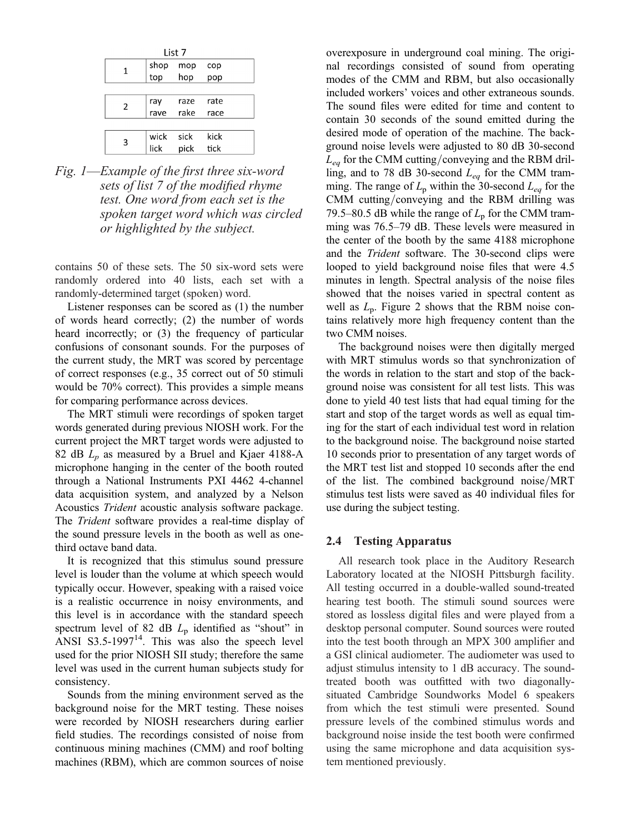<span id="page-3-0"></span>

| List 7 |      |            |      |  |
|--------|------|------------|------|--|
| 1      | shop |            | cop  |  |
|        | top  | mop<br>hop | pop  |  |
|        |      |            |      |  |
| 2      | ray  | raze       | rate |  |
|        | rave | rake       | race |  |
|        |      |            |      |  |
| 3      | wick | sick       | kick |  |
|        | lick | pick       | tick |  |

Fig. 1—Example of the first three six-word sets of list 7 of the modified rhyme test. One word from each set is the spoken target word which was circled or highlighted by the subject.

contains 50 of these sets. The 50 six-word sets were randomly ordered into 40 lists, each set with a randomly-determined target (spoken) word.

Listener responses can be scored as (1) the number of words heard correctly; (2) the number of words heard incorrectly; or (3) the frequency of particular confusions of consonant sounds. For the purposes of the current study, the MRT was scored by percentage of correct responses (e.g., 35 correct out of 50 stimuli would be 70% correct). This provides a simple means for comparing performance across devices.

The MRT stimuli were recordings of spoken target words generated during previous NIOSH work. For the current project the MRT target words were adjusted to 82 dB  $L_p$  as measured by a Bruel and Kjaer 4188-A microphone hanging in the center of the booth routed through a National Instruments PXI 4462 4-channel data acquisition system, and analyzed by a Nelson Acoustics Trident acoustic analysis software package. The Trident software provides a real-time display of the sound pressure levels in the booth as well as onethird octave band data.

It is recognized that this stimulus sound pressure level is louder than the volume at which speech would typically occur. However, speaking with a raised voice is a realistic occurrence in noisy environments, and this level is in accordance with the standard speech spectrum level of 82 dB  $L_p$  identified as "shout" in ANSI  $S3.5$ -1997<sup>14</sup>. This was also the speech level used for the prior NIOSH SII study; therefore the same level was used in the current human subjects study for consistency.

Sounds from the mining environment served as the background noise for the MRT testing. These noises were recorded by NIOSH researchers during earlier field studies. The recordings consisted of noise from continuous mining machines (CMM) and roof bolting machines (RBM), which are common sources of noise

overexposure in underground coal mining. The original recordings consisted of sound from operating modes of the CMM and RBM, but also occasionally included workers' voices and other extraneous sounds. The sound files were edited for time and content to contain 30 seconds of the sound emitted during the desired mode of operation of the machine. The background noise levels were adjusted to 80 dB 30-second  $L_{eq}$  for the CMM cutting/conveying and the RBM drilling, and to 78 dB 30-second  $L_{eq}$  for the CMM tramming. The range of  $L_p$  within the 30-second  $L_{eq}$  for the CMM cutting/conveying and the RBM drilling was 79.5–80.5 dB while the range of  $L_p$  for the CMM tramming was 76.5–79 dB. These levels were measured in the center of the booth by the same 4188 microphone and the Trident software. The 30-second clips were looped to yield background noise files that were 4.5 minutes in length. Spectral analysis of the noise files showed that the noises varied in spectral content as well as  $L_p$ . Figure [2](#page-4-0) shows that the RBM noise contains relatively more high frequency content than the two CMM noises.

The background noises were then digitally merged with MRT stimulus words so that synchronization of the words in relation to the start and stop of the background noise was consistent for all test lists. This was done to yield 40 test lists that had equal timing for the start and stop of the target words as well as equal timing for the start of each individual test word in relation to the background noise. The background noise started 10 seconds prior to presentation of any target words of the MRT test list and stopped 10 seconds after the end of the list. The combined background noise/MRT stimulus test lists were saved as 40 individual files for use during the subject testing.

#### 2.4 Testing Apparatus

All research took place in the Auditory Research Laboratory located at the NIOSH Pittsburgh facility. All testing occurred in a double-walled sound-treated hearing test booth. The stimuli sound sources were stored as lossless digital files and were played from a desktop personal computer. Sound sources were routed into the test booth through an MPX 300 amplifier and a GSI clinical audiometer. The audiometer was used to adjust stimulus intensity to 1 dB accuracy. The soundtreated booth was outfitted with two diagonallysituated Cambridge Soundworks Model 6 speakers from which the test stimuli were presented. Sound pressure levels of the combined stimulus words and background noise inside the test booth were confirmed using the same microphone and data acquisition system mentioned previously.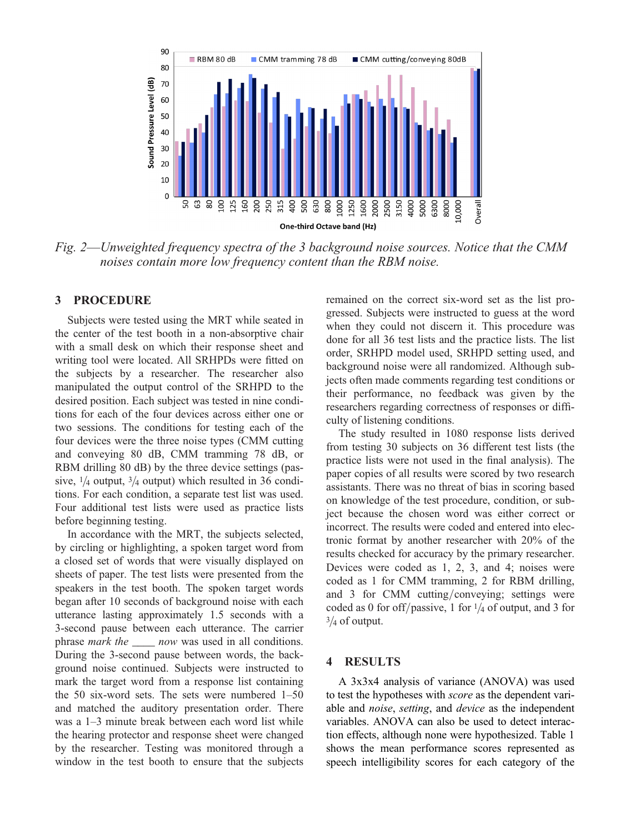<span id="page-4-0"></span>

Fig. 2—Unweighted frequency spectra of the 3 background noise sources. Notice that the CMM noises contain more low frequency content than the RBM noise.

#### 3 PROCEDURE

Subjects were tested using the MRT while seated in the center of the test booth in a non-absorptive chair with a small desk on which their response sheet and writing tool were located. All SRHPDs were fitted on the subjects by a researcher. The researcher also manipulated the output control of the SRHPD to the desired position. Each subject was tested in nine conditions for each of the four devices across either one or two sessions. The conditions for testing each of the four devices were the three noise types (CMM cutting and conveying 80 dB, CMM tramming 78 dB, or RBM drilling 80 dB) by the three device settings (passive,  $\frac{1}{4}$  output,  $\frac{3}{4}$  output) which resulted in 36 conditions. For each condition, a separate test list was used. Four additional test lists were used as practice lists before beginning testing.

In accordance with the MRT, the subjects selected, by circling or highlighting, a spoken target word from a closed set of words that were visually displayed on sheets of paper. The test lists were presented from the speakers in the test booth. The spoken target words began after 10 seconds of background noise with each utterance lasting approximately 1.5 seconds with a 3-second pause between each utterance. The carrier phrase *mark the* \_\_\_\_\_ *now* was used in all conditions. During the 3-second pause between words, the background noise continued. Subjects were instructed to mark the target word from a response list containing the 50 six-word sets. The sets were numbered 1–50 and matched the auditory presentation order. There was a 1–3 minute break between each word list while the hearing protector and response sheet were changed by the researcher. Testing was monitored through a window in the test booth to ensure that the subjects remained on the correct six-word set as the list progressed. Subjects were instructed to guess at the word when they could not discern it. This procedure was done for all 36 test lists and the practice lists. The list order, SRHPD model used, SRHPD setting used, and background noise were all randomized. Although subjects often made comments regarding test conditions or their performance, no feedback was given by the researchers regarding correctness of responses or difficulty of listening conditions.

The study resulted in 1080 response lists derived from testing 30 subjects on 36 different test lists (the practice lists were not used in the final analysis). The paper copies of all results were scored by two research assistants. There was no threat of bias in scoring based on knowledge of the test procedure, condition, or subject because the chosen word was either correct or incorrect. The results were coded and entered into electronic format by another researcher with 20% of the results checked for accuracy by the primary researcher. Devices were coded as 1, 2, 3, and 4; noises were coded as 1 for CMM tramming, 2 for RBM drilling, and 3 for CMM cutting/conveying; settings were coded as 0 for off/passive, 1 for  $\frac{1}{4}$  of output, and 3 for  $\frac{3}{4}$  of output.

#### 4 RESULTS

A 3x3x4 analysis of variance (ANOVA) was used to test the hypotheses with score as the dependent variable and noise, setting, and device as the independent variables. ANOVA can also be used to detect interaction effects, although none were hypothesized. Table [1](#page-5-0) shows the mean performance scores represented as speech intelligibility scores for each category of the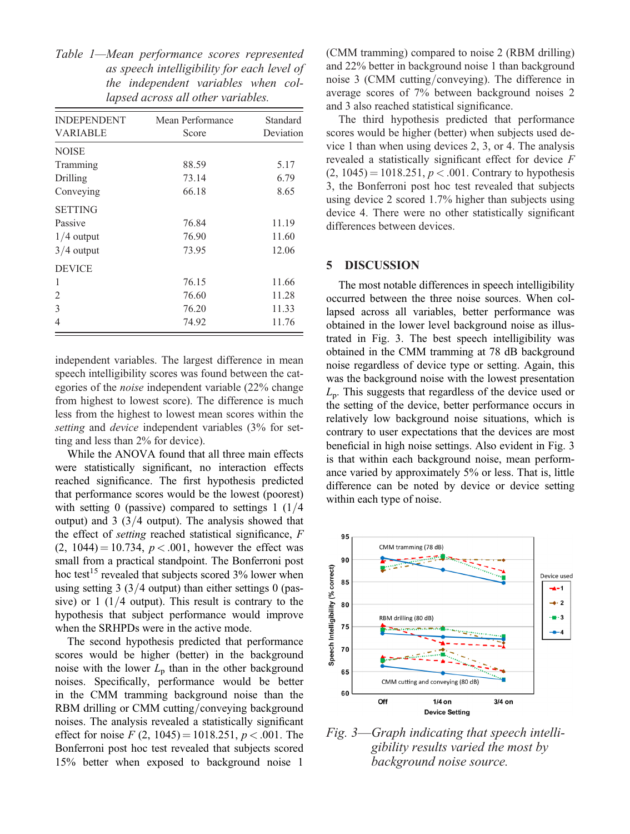<span id="page-5-0"></span>Table 1—Mean performance scores represented as speech intelligibility for each level of the independent variables when collapsed across all other variables.

| <b>INDEPENDENT</b><br><b>VARIABLE</b> | Mean Performance<br>Score | Standard<br>Deviation |
|---------------------------------------|---------------------------|-----------------------|
| <b>NOISE</b>                          |                           |                       |
| Tramming                              | 88.59                     | 5.17                  |
| Drilling                              | 73.14                     | 6.79                  |
| Conveying                             | 66.18                     | 8.65                  |
| <b>SETTING</b>                        |                           |                       |
| Passive                               | 76.84                     | 11.19                 |
| $1/4$ output                          | 76.90                     | 11.60                 |
| $3/4$ output                          | 73.95                     | 12.06                 |
| <b>DEVICE</b>                         |                           |                       |
| 1                                     | 76.15                     | 11.66                 |
| 2                                     | 76.60                     | 11.28                 |
| 3                                     | 76.20                     | 11.33                 |
| 4                                     | 74.92                     | 11.76                 |

independent variables. The largest difference in mean speech intelligibility scores was found between the categories of the noise independent variable (22% change from highest to lowest score). The difference is much less from the highest to lowest mean scores within the setting and *device* independent variables (3% for setting and less than 2% for device).

While the ANOVA found that all three main effects were statistically significant, no interaction effects reached significance. The first hypothesis predicted that performance scores would be the lowest (poorest) with setting 0 (passive) compared to settings  $1 \frac{1}{4}$ output) and  $3(3/4$  output). The analysis showed that the effect of setting reached statistical significance, F  $(2, 1044) = 10.734$ ,  $p < .001$ , however the effect was small from a practical standpoint. The Bonferroni post hoc test<sup>[15](#page-8-0)</sup> revealed that subjects scored  $3\%$  lower when using setting  $3(3/4$  output) than either settings 0 (passive) or  $1 \frac{1}{4}$  output). This result is contrary to the hypothesis that subject performance would improve when the SRHPDs were in the active mode.

The second hypothesis predicted that performance scores would be higher (better) in the background noise with the lower  $L_p$  than in the other background noises. Specifically, performance would be better in the CMM tramming background noise than the RBM drilling or CMM cutting/conveying background noises. The analysis revealed a statistically significant effect for noise  $F(2, 1045) = 1018.251, p < .001$ . The Bonferroni post hoc test revealed that subjects scored 15% better when exposed to background noise 1

(CMM tramming) compared to noise 2 (RBM drilling) and 22% better in background noise 1 than background noise  $3$  (CMM cutting/conveying). The difference in average scores of 7% between background noises 2 and 3 also reached statistical significance.

The third hypothesis predicted that performance scores would be higher (better) when subjects used device 1 than when using devices 2, 3, or 4. The analysis revealed a statistically significant effect for device F  $(2, 1045) = 1018.251, p < .001$ . Contrary to hypothesis 3, the Bonferroni post hoc test revealed that subjects using device 2 scored 1.7% higher than subjects using device 4. There were no other statistically significant differences between devices.

#### 5 DISCUSSION

The most notable differences in speech intelligibility occurred between the three noise sources. When collapsed across all variables, better performance was obtained in the lower level background noise as illustrated in Fig. 3. The best speech intelligibility was obtained in the CMM tramming at 78 dB background noise regardless of device type or setting. Again, this was the background noise with the lowest presentation  $L<sub>p</sub>$ . This suggests that regardless of the device used or the setting of the device, better performance occurs in relatively low background noise situations, which is contrary to user expectations that the devices are most beneficial in high noise settings. Also evident in Fig. 3 is that within each background noise, mean performance varied by approximately 5% or less. That is, little difference can be noted by device or device setting within each type of noise.



Fig. 3—Graph indicating that speech intelligibility results varied the most by background noise source.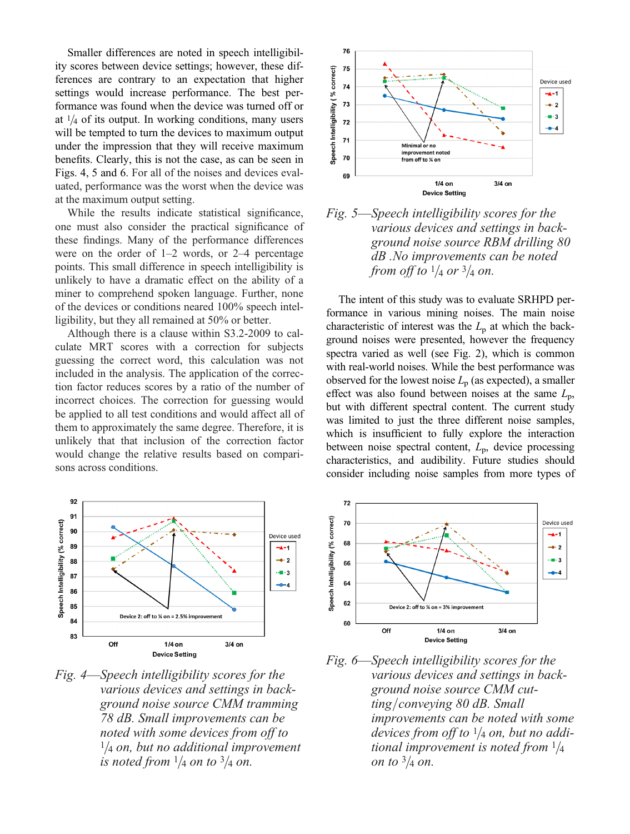Smaller differences are noted in speech intelligibility scores between device settings; however, these differences are contrary to an expectation that higher settings would increase performance. The best performance was found when the device was turned off or at  $\frac{1}{4}$  of its output. In working conditions, many users will be tempted to turn the devices to maximum output under the impression that they will receive maximum benefits. Clearly, this is not the case, as can be seen in Figs. 4, 5 and 6. For all of the noises and devices evaluated, performance was the worst when the device was at the maximum output setting.

While the results indicate statistical significance, one must also consider the practical significance of these findings. Many of the performance differences were on the order of 1–2 words, or 2–4 percentage points. This small difference in speech intelligibility is unlikely to have a dramatic effect on the ability of a miner to comprehend spoken language. Further, none of the devices or conditions neared 100% speech intelligibility, but they all remained at 50% or better.

Although there is a clause within S3.2-2009 to calculate MRT scores with a correction for subjects guessing the correct word, this calculation was not included in the analysis. The application of the correction factor reduces scores by a ratio of the number of incorrect choices. The correction for guessing would be applied to all test conditions and would affect all of them to approximately the same degree. Therefore, it is unlikely that that inclusion of the correction factor would change the relative results based on comparisons across conditions.



Fig. 4—Speech intelligibility scores for the various devices and settings in background noise source CMM tramming 78 dB. Small improvements can be is noted from  $\frac{1}{4}$  on to  $\frac{3}{4}$  on.  $1/4$  on, but no additional improvement noted with some devices from off to



from off to  $\frac{1}{4}$  or  $\frac{3}{4}$  on. Fig. 5—Speech intelligibility scores for the various devices and settings in background noise source RBM drilling 80 dB .No improvements can be noted

The intent of this study was to evaluate SRHPD performance in various mining noises. The main noise characteristic of interest was the  $L_p$  at which the background noises were presented, however the frequency spectra varied as well (see Fig. [2\)](#page-4-0), which is common with real-world noises. While the best performance was observed for the lowest noise  $L_p$  (as expected), a smaller effect was also found between noises at the same  $L_p$ , but with different spectral content. The current study was limited to just the three different noise samples, which is insufficient to fully explore the interaction between noise spectral content,  $L_p$ , device processing characteristics, and audibility. Future studies should consider including noise samples from more types of



tional improvement is noted from  $1\!/_{\!4}$ devices from off to <sup>1</sup>/4 on, but no addion to  $3/4$  on. Fig. 6—Speech intelligibility scores for the various devices and settings in background noise source CMM cut $ting/conveying 80 dB. Small$ improvements can be noted with some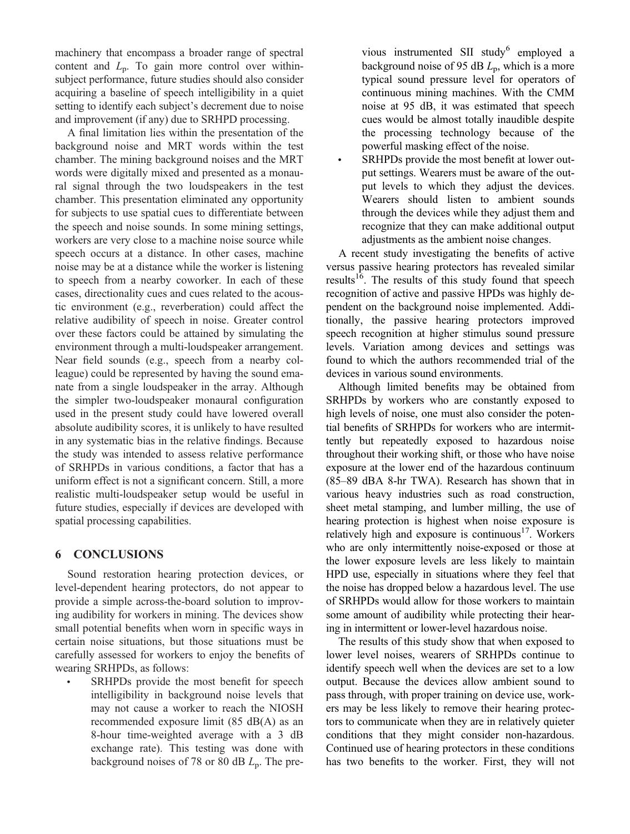machinery that encompass a broader range of spectral content and  $L_p$ . To gain more control over withinsubject performance, future studies should also consider acquiring a baseline of speech intelligibility in a quiet setting to identify each subject's decrement due to noise and improvement (if any) due to SRHPD processing.

A final limitation lies within the presentation of the background noise and MRT words within the test chamber. The mining background noises and the MRT words were digitally mixed and presented as a monaural signal through the two loudspeakers in the test chamber. This presentation eliminated any opportunity for subjects to use spatial cues to differentiate between the speech and noise sounds. In some mining settings, workers are very close to a machine noise source while speech occurs at a distance. In other cases, machine noise may be at a distance while the worker is listening to speech from a nearby coworker. In each of these cases, directionality cues and cues related to the acoustic environment (e.g., reverberation) could affect the relative audibility of speech in noise. Greater control over these factors could be attained by simulating the environment through a multi-loudspeaker arrangement. Near field sounds (e.g., speech from a nearby colleague) could be represented by having the sound emanate from a single loudspeaker in the array. Although the simpler two-loudspeaker monaural configuration used in the present study could have lowered overall absolute audibility scores, it is unlikely to have resulted in any systematic bias in the relative findings. Because the study was intended to assess relative performance of SRHPDs in various conditions, a factor that has a uniform effect is not a significant concern. Still, a more realistic multi-loudspeaker setup would be useful in future studies, especially if devices are developed with spatial processing capabilities.

## 6 CONCLUSIONS

Sound restoration hearing protection devices, or level-dependent hearing protectors, do not appear to provide a simple across-the-board solution to improving audibility for workers in mining. The devices show small potential benefits when worn in specific ways in certain noise situations, but those situations must be carefully assessed for workers to enjoy the benefits of wearing SRHPDs, as follows:

SRHPDs provide the most benefit for speech intelligibility in background noise levels that may not cause a worker to reach the NIOSH recommended exposure limit (85 dB(A) as an 8-hour time-weighted average with a 3 dB exchange rate). This testing was done with background noises of 78 or 80 dB  $L_p$ . The previous instrumented SII study<sup>[6](#page-8-0)</sup> employed a background noise of 95 dB  $L_p$ , which is a more typical sound pressure level for operators of continuous mining machines. With the CMM noise at 95 dB, it was estimated that speech cues would be almost totally inaudible despite the processing technology because of the powerful masking effect of the noise.

SRHPDs provide the most benefit at lower output settings. Wearers must be aware of the output levels to which they adjust the devices. Wearers should listen to ambient sounds through the devices while they adjust them and recognize that they can make additional output adjustments as the ambient noise changes.

A recent study investigating the benefits of active versus passive hearing protectors has revealed similar results<sup>16</sup>. The results of this study found that speech recognition of active and passive HPDs was highly dependent on the background noise implemented. Additionally, the passive hearing protectors improved speech recognition at higher stimulus sound pressure levels. Variation among devices and settings was found to which the authors recommended trial of the devices in various sound environments.

Although limited benefits may be obtained from SRHPDs by workers who are constantly exposed to high levels of noise, one must also consider the potential benefits of SRHPDs for workers who are intermittently but repeatedly exposed to hazardous noise throughout their working shift, or those who have noise exposure at the lower end of the hazardous continuum (85–89 dBA 8-hr TWA). Research has shown that in various heavy industries such as road construction, sheet metal stamping, and lumber milling, the use of hearing protection is highest when noise exposure is relatively high and exposure is continuous $17$ . Workers who are only intermittently noise-exposed or those at the lower exposure levels are less likely to maintain HPD use, especially in situations where they feel that the noise has dropped below a hazardous level. The use of SRHPDs would allow for those workers to maintain some amount of audibility while protecting their hearing in intermittent or lower-level hazardous noise.

The results of this study show that when exposed to lower level noises, wearers of SRHPDs continue to identify speech well when the devices are set to a low output. Because the devices allow ambient sound to pass through, with proper training on device use, workers may be less likely to remove their hearing protectors to communicate when they are in relatively quieter conditions that they might consider non-hazardous. Continued use of hearing protectors in these conditions has two benefits to the worker. First, they will not